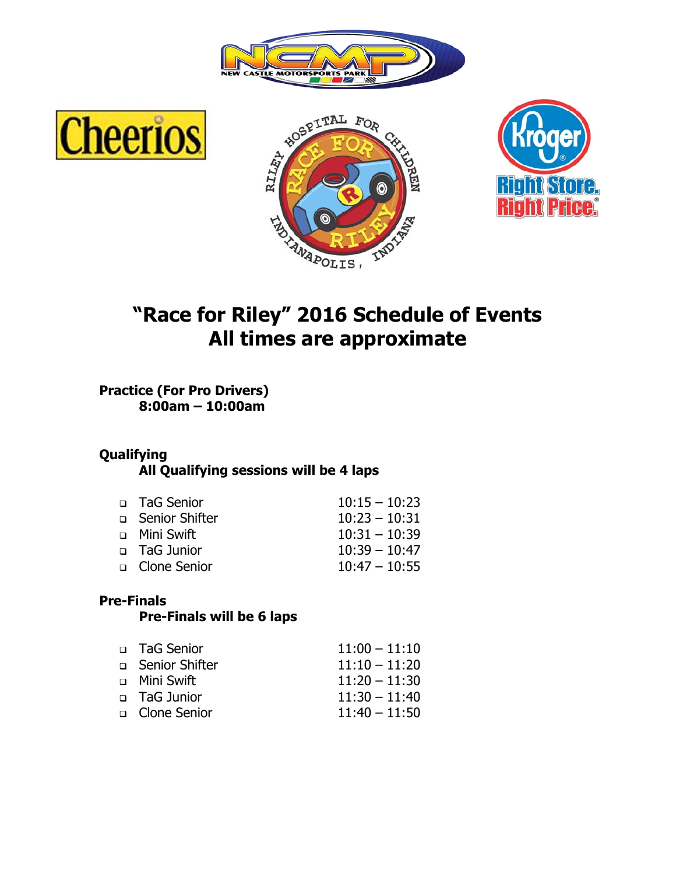







# **"Race for Riley" 2016 Schedule of Events All times are approximate**

**Practice (For Pro Drivers) 8:00am – 10:00am** 

### **Qualifying**

 **All Qualifying sessions will be 4 laps**

| □ TaG Senior     | $10:15 - 10:23$ |
|------------------|-----------------|
| □ Senior Shifter | $10:23 - 10:31$ |
| □ Mini Swift     | $10:31 - 10:39$ |
| □ TaG Junior     | $10:39 - 10:47$ |
| □ Clone Senior   | $10:47 - 10:55$ |

#### **Pre-Finals**

#### **Pre-Finals will be 6 laps**

| □ TaG Senior     | $11:00 - 11:10$ |
|------------------|-----------------|
| □ Senior Shifter | $11:10 - 11:20$ |
| □ Mini Swift     | $11:20 - 11:30$ |
| □ TaG Junior     | $11:30 - 11:40$ |
| □ Clone Senior   | $11:40 - 11:50$ |